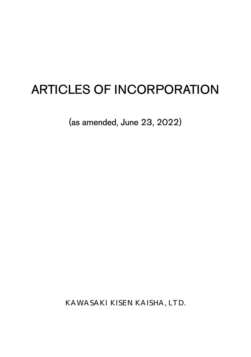# ARTICLES OF INCORPORATION

(as amended, June 23, 2022)

KAWASAKI KISEN KAISHA, LTD.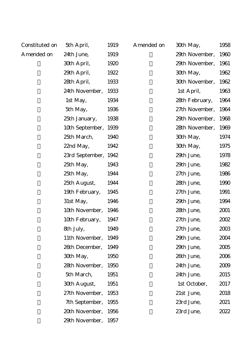# Constituted on

A mended on

| tuted on | 5th April,      | 1919 | Amended on |
|----------|-----------------|------|------------|
| ded on   | 24th June,      | 1919 |            |
|          | 30th April,     | 1920 |            |
|          | 29th April,     | 1922 |            |
|          | 28th April,     | 1933 |            |
|          | 24th November,  | 1933 |            |
|          | 1st May,        | 1934 |            |
|          | 5th May,        | 1936 |            |
|          | 25th January,   | 1938 |            |
|          | 10th September, | 1939 |            |
|          | 25th March,     | 1940 |            |
|          | 22nd May,       | 1942 |            |
|          | 23rd September, | 1942 |            |
|          | 25th May,       | 1943 |            |
|          | 25th May,       | 1944 |            |
|          | 25th August,    | 1944 |            |
|          | 19th February,  | 1945 |            |
|          | 31st May,       | 1946 |            |
|          | 10th November,  | 1946 |            |
|          | 10th February,  | 1947 |            |
|          | 8th July,       | 1949 |            |
|          | 11th November,  | 1949 |            |
|          | 26th December,  | 1949 |            |
|          | 30th May,       | 1950 |            |
|          | 28th November,  | 1950 |            |
|          | 5th March,      | 1951 |            |
|          | 30th August,    | 1951 |            |
|          | 27th November,  | 1953 |            |
|          | 7th September,  | 1955 |            |
|          | 20th November,  | 1956 |            |
|          | 29th November,  | 1957 |            |

| ded on | 30th May,      | 1958 |
|--------|----------------|------|
|        | 29th November, | 1960 |
|        | 29th November, | 1961 |
|        | 30th May,      | 1962 |
|        | 30th November, | 1962 |
|        | 1st April,     | 1963 |
|        | 28th February, | 1964 |
|        | 27th November, | 1964 |
|        | 29th November, | 1968 |
|        | 28th November, | 1969 |
|        | 30th May,      | 1974 |
|        | 30th May,      | 1975 |
|        | 29th June,     | 1978 |
|        | 29th June,     | 1982 |
|        | 27th June.     | 1986 |
|        | 28th June,     | 1990 |
|        | 27th June,     | 1991 |
|        | 29th June,     | 1994 |
|        | 28th June,     | 2001 |
|        | 27th June,     | 2002 |
|        | 27th June,     | 2003 |
|        | 29th June.     | 2004 |
|        | 29th June,     | 2005 |
|        | 26th June,     | 2006 |
|        | 24th June.     | 2009 |
|        | 24th June,     | 2015 |
|        | 1st October,   | 2017 |
|        | 21st June,     | 2018 |
|        | 23rd June,     | 2021 |
|        | 23rd June,     | 2022 |
|        |                |      |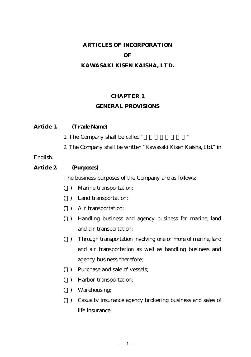# **ARTICLES OF INCORPORATION OF KAWASAKI KISEN KAISHA, LTD.**

## **CHAPTER 1**

# **GENERAL PROVISIONS**

| Article 1. | (Trade Name)                                                    |
|------------|-----------------------------------------------------------------|
|            | , ,<br>1. The Company shall be called "                         |
|            | 2 The Company shall be written "Kawasaki Kisen Kaisha, Ltd." in |
| English.   |                                                                 |
| Article 2  | (Purposes)                                                      |
|            | The business purposes of the Company are as follows:            |
|            | $( \ )$ Monine transportation                                   |

- (1) Marine transportation;
- (2) Land transportation;
- (3) Air transportation;
- (4) Handling business and agency business for marine, land and air transportation;
- (5) Through transportation involving one or more of marine, land and air transportation as well as handling business and agency business therefore;
- (6) Purchase and sale of vessels;
- (7) Harbor transportation;
- (8) Warehousing;
- (9) Casualty insurance agency brokering business and sales of life insurance;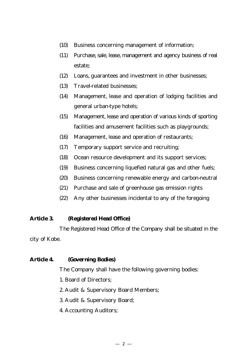- (10) Business concerning management of information;
- (11) Purchase, sale, lease, management and agency business of real estate;
- (12) Loans, guarantees and investment in other businesses;
- (13) Travel-related businesses;
- (14) Management, lease and operation of lodging facilities and general urban-type hotels;
- (15) Management, lease and operation of various kinds of sporting facilities and amusement facilities such as playgrounds;
- (16) Management, lease and operation of restaurants;
- (17) Temporary support service and recruiting;
- (18) Ocean resource development and its support services;
- (19) Business concerning liquefied natural gas and other fuels;
- (20) Business concerning renewable energy and carbon-neutral
- (21) Purchase and sale of greenhouse gas emission rights
- (22) Any other businesses incidental to any of the foregoing

### **Article 3. (Registered Head Office)**

The Registered Head Office of the Company shall be situated in the city of Kobe.

# **Article 4. (Governing Bodies)**

The Company shall have the following governing bodies:

- 1. Board of Directors;
- 2. Audit & Supervisory Board Members;
- 3. Audit & Supervisory Board;
- 4. Accounting Auditors;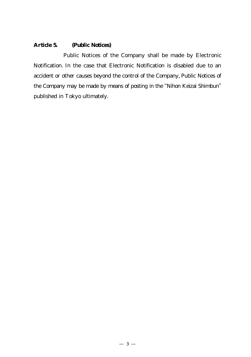# **Article 5. (Public Notices)**

Public Notices of the Company shall be made by Electronic Notification. In the case that Electronic Notification is disabled due to an accident or other causes beyond the control of the Company, Public Notices of the Company may be made by means of posting in the "Nihon Keizai Shimbun" published in Tokyo ultimately.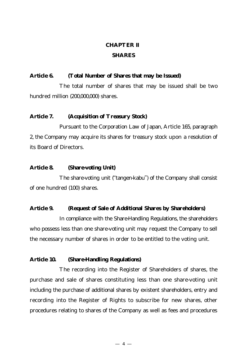# **CHAPTER Ⅱ SHARES**

# **Article 6. (Total Number of Shares that may be Issued)**

The total number of shares that may be issued shall be two hundred million (200,000,000) shares.

### **Article 7. (Acquisition of Treasury Stock)**

Pursuant to the Corporation Law of Japan, Article 165, paragraph 2, the Company may acquire its shares for treasury stock upon a resolution of its Board of Directors.

### **Article 8. (Share-voting Unit)**

The share-voting unit ("tangen-kabu") of the Company shall consist of one hundred (100) shares.

#### **Article 9. (Request of Sale of Additional Shares by Shareholders)**

In compliance with the Share-Handling Regulations, the shareholders who possess less than one share-voting unit may request the Company to sell the necessary number of shares in order to be entitled to the voting unit.

### **Article 10. (Share-Handling Regulations)**

The recording into the Register of Shareholders of shares, the purchase and sale of shares constituting less than one share-voting unit including the purchase of additional shares by existent shareholders, entry and recording into the Register of Rights to subscribe for new shares, other procedures relating to shares of the Company as well as fees and procedures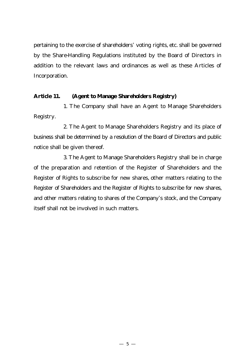pertaining to the exercise of shareholders' voting rights, etc. shall be governed by the Share-Handling Regulations instituted by the Board of Directors in addition to the relevant laws and ordinances as well as these Articles of Incorporation.

#### **Article 11. (Agent to Manage Shareholders Registry)**

1. The Company shall have an Agent to Manage Shareholders Registry.

2. The Agent to Manage Shareholders Registry and its place of business shall be determined by a resolution of the Board of Directors and public notice shall be given thereof.

3. The Agent to Manage Shareholders Registry shall be in charge of the preparation and retention of the Register of Shareholders and the Register of Rights to subscribe for new shares, other matters relating to the Register of Shareholders and the Register of Rights to subscribe for new shares, and other matters relating to shares of the Company's stock, and the Company itself shall not be involved in such matters.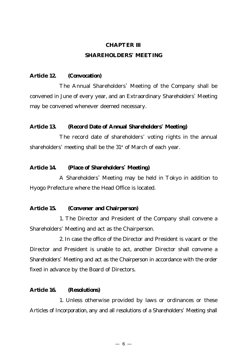# **CHAPTER Ⅲ SHAREHOLDERS' MEETING**

### **Article 12. (Convocation)**

The Annual Shareholders' Meeting of the Company shall be convened in June of every year, and an Extraordinary Shareholders' Meeting may be convened whenever deemed necessary.

### **Article 13. (Record Date of Annual Shareholders' Meeting)**

The record date of shareholders' voting rights in the annual shareholders' meeting shall be the  $31<sup>st</sup>$  of March of each year.

### **Article 14. (Place of Shareholders' Meeting)**

A Shareholders' Meeting may be held in Tokyo in addition to Hyogo Prefecture where the Head Office is located.

#### **Article 15. (Convener and Chairperson)**

1. The Director and President of the Company shall convene a Shareholders' Meeting and act as the Chairperson.

2. In case the office of the Director and President is vacant or the Director and President is unable to act, another Director shall convene a Shareholders' Meeting and act as the Chairperson in accordance with the order fixed in advance by the Board of Directors.

# **Article 16. (Resolutions)**

1. Unless otherwise provided by laws or ordinances or these Articles of Incorporation, any and all resolutions of a Shareholders' Meeting shall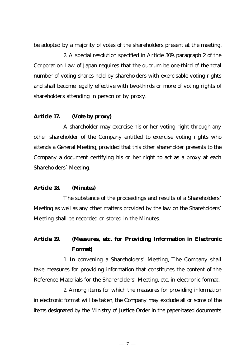be adopted by a majority of votes of the shareholders present at the meeting.

2. A special resolution specified in Article 309, paragraph 2 of the Corporation Law of Japan requires that the quorum be one-third of the total number of voting shares held by shareholders with exercisable voting rights and shall become legally effective with two-thirds or more of voting rights of shareholders attending in person or by proxy.

#### **Article 17. (Vote by proxy)**

A shareholder may exercise his or her voting right through any other shareholder of the Company entitled to exercise voting rights who attends a General Meeting, provided that this other shareholder presents to the Company a document certifying his or her right to act as a proxy at each Shareholders' Meeting.

# **Article 18. (Minutes)**

The substance of the proceedings and results of a Shareholders' Meeting as well as any other matters provided by the law on the Shareholders' Meeting shall be recorded or stored in the Minutes.

# **Article 19. (Measures, etc. for Providing Information in Electronic Format)**

1. In convening a Shareholders' Meeting, The Company shall take measures for providing information that constitutes the content of the Reference Materials for the Shareholders' Meeting, etc. in electronic format.

2. Among items for which the measures for providing information in electronic format will be taken, the Company may exclude all or some of the items designated by the Ministry of Justice Order in the paper-based documents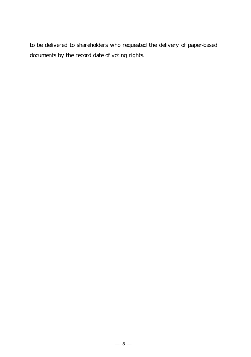to be delivered to shareholders who requested the delivery of paper-based documents by the record date of voting rights.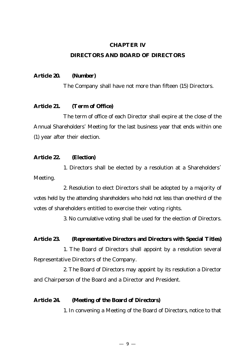### **CHAPTER Ⅳ**

### **DIRECTORS AND BOARD OF DIRECTORS**

#### **Article 20. (Number)**

The Company shall have not more than fifteen (15) Directors.

### **Article 21. (Term of Office)**

The term of office of each Director shall expire at the close of the Annual Shareholders' Meeting for the last business year that ends within one (1) year after their election.

### **Article 22. (Election)**

1. Directors shall be elected by a resolution at a Shareholders' Meeting.

2. Resolution to elect Directors shall be adopted by a majority of votes held by the attending shareholders who hold not less than one-third of the votes of shareholders entitled to exercise their voting rights.

3. No cumulative voting shall be used for the election of Directors.

#### **Article 23. (Representative Directors and Directors with Special Titles)**

1. The Board of Directors shall appoint by a resolution several Representative Directors of the Company.

2. The Board of Directors may appoint by its resolution a Director and Chairperson of the Board and a Director and President.

### **Article 24. (Meeting of the Board of Directors)**

1. In convening a Meeting of the Board of Directors, notice to that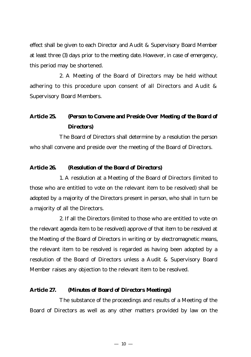effect shall be given to each Director and Audit & Supervisory Board Member at least three (3) days prior to the meeting date. However, in case of emergency, this period may be shortened.

2. A Meeting of the Board of Directors may be held without adhering to this procedure upon consent of all Directors and Audit & Supervisory Board Members.

# **Article 25. (Person to Convene and Preside Over Meeting of the Board of Directors)**

The Board of Directors shall determine by a resolution the person who shall convene and preside over the meeting of the Board of Directors.

### **Article 26. (Resolution of the Board of Directors)**

1. A resolution at a Meeting of the Board of Directors (limited to those who are entitled to vote on the relevant item to be resolved) shall be adopted by a majority of the Directors present in person, who shall in turn be a majority of all the Directors.

2. If all the Directors (limited to those who are entitled to vote on the relevant agenda item to be resolved) approve of that item to be resolved at the Meeting of the Board of Directors in writing or by electromagnetic means, the relevant item to be resolved is regarded as having been adopted by a resolution of the Board of Directors unless a Audit & Supervisory Board Member raises any objection to the relevant item to be resolved.

# **Article 27. (Minutes of Board of Directors Meetings)**

The substance of the proceedings and results of a Meeting of the Board of Directors as well as any other matters provided by law on the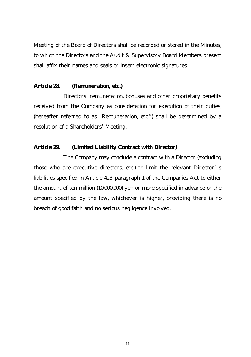Meeting of the Board of Directors shall be recorded or stored in the Minutes, to which the Directors and the Audit & Supervisory Board Members present shall affix their names and seals or insert electronic signatures.

### **Article 28. (Remuneration, etc.)**

Directors' remuneration, bonuses and other proprietary benefits received from the Company as consideration for execution of their duties, (hereafter referred to as "Remuneration, etc.") shall be determined by a resolution of a Shareholders' Meeting.

### **Article 29. (Limited Liability Contract with Director)**

The Company may conclude a contract with a Director (excluding those who are executive directors, etc.) to limit the relevant Director' s liabilities specified in Article 423, paragraph 1 of the Companies Act to either the amount of ten million (10,000,000) yen or more specified in advance or the amount specified by the law, whichever is higher, providing there is no breach of good faith and no serious negligence involved.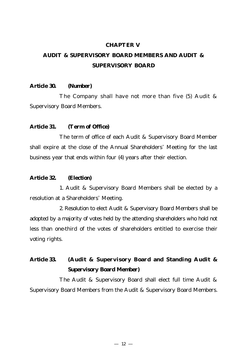#### **CHAPTER Ⅴ**

# **AUDIT & SUPERVISORY BOARD MEMBERS AND AUDIT & SUPERVISORY BOARD**

### **Article 30. (Number)**

The Company shall have not more than five (5) Audit & Supervisory Board Members.

### **Article 31. (Term of Office)**

The term of office of each Audit & Supervisory Board Member shall expire at the close of the Annual Shareholders' Meeting for the last business year that ends within four (4) years after their election.

### **Article 32. (Election)**

1. Audit & Supervisory Board Members shall be elected by a resolution at a Shareholders' Meeting.

2. Resolution to elect Audit & Supervisory Board Members shall be adopted by a majority of votes held by the attending shareholders who hold not less than one-third of the votes of shareholders entitled to exercise their voting rights.

**Article 33. (Audit & Supervisory Board and Standing Audit & Supervisory Board Member)**

The Audit & Supervisory Board shall elect full time Audit & Supervisory Board Members from the Audit & Supervisory Board Members.

12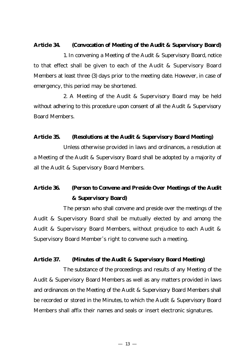### **Article 34. (Convocation of Meeting of the Audit & Supervisory Board)**

1. In convening a Meeting of the Audit & Supervisory Board, notice to that effect shall be given to each of the Audit & Supervisory Board Members at least three (3) days prior to the meeting date. However, in case of emergency, this period may be shortened.

2. A Meeting of the Audit & Supervisory Board may be held without adhering to this procedure upon consent of all the Audit & Supervisory Board Members.

### **Article 35. (Resolutions at the Audit & Supervisory Board Meeting)**

Unless otherwise provided in laws and ordinances, a resolution at a Meeting of the Audit & Supervisory Board shall be adopted by a majority of all the Audit & Supervisory Board Members.

# **Article 36. (Person to Convene and Preside Over Meetings of the Audit & Supervisory Board)**

The person who shall convene and preside over the meetings of the Audit & Supervisory Board shall be mutually elected by and among the Audit & Supervisory Board Members, without prejudice to each Audit & Supervisory Board Member's right to convene such a meeting.

# **Article 37. (Minutes of the Audit & Supervisory Board Meeting)**

The substance of the proceedings and results of any Meeting of the Audit & Supervisory Board Members as well as any matters provided in laws and ordinances on the Meeting of the Audit & Supervisory Board Members shall be recorded or stored in the Minutes, to which the Audit & Supervisory Board Members shall affix their names and seals or insert electronic signatures.

13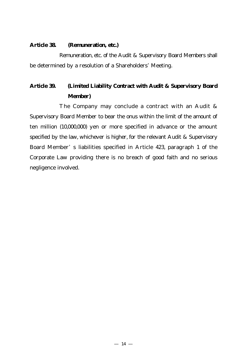#### **Article 38. (Remuneration, etc.)**

Remuneration, etc. of the Audit & Supervisory Board Members shall be determined by a resolution of a Shareholders' Meeting.

# **Article 39. (Limited Liability Contract with Audit & Supervisory Board Member)**

The Company may conclude a contract with an Audit & Supervisory Board Member to bear the onus within the limit of the amount of ten million (10,000,000) yen or more specified in advance or the amount specified by the law, whichever is higher, for the relevant Audit & Supervisory Board Member' s liabilities specified in Article 423, paragraph 1 of the Corporate Law providing there is no breach of good faith and no serious negligence involved.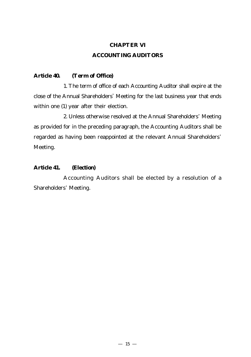# **CHAPTER Ⅵ ACCOUNTING AUDITORS**

# **Article 40. (Term of Office)**

1. The term of office of each Accounting Auditor shall expire at the close of the Annual Shareholders' Meeting for the last business year that ends within one (1) year after their election.

2. Unless otherwise resolved at the Annual Shareholders' Meeting as provided for in the preceding paragraph, the Accounting Auditors shall be regarded as having been reappointed at the relevant Annual Shareholders' Meeting.

### **Article 41. (Election)**

Accounting Auditors shall be elected by a resolution of a Shareholders' Meeting.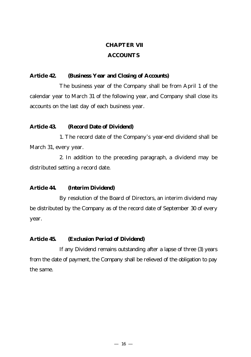### **CHAPTER Ⅶ**

# **ACCOUNTS**

# **Article 42. (Business Year and Closing of Accounts)**

The business year of the Company shall be from April 1 of the calendar year to March 31 of the following year, and Company shall close its accounts on the last day of each business year.

# **Article 43. (Record Date of Dividend)**

1. The record date of the Company's year-end dividend shall be March 31, every year.

2. In addition to the preceding paragraph, a dividend may be distributed setting a record date.

# **Article 44. (Interim Dividend)**

By resolution of the Board of Directors, an interim dividend may be distributed by the Company as of the record date of September 30 of every year.

### **Article 45. (Exclusion Period of Dividend)**

If any Dividend remains outstanding after a lapse of three (3) years from the date of payment, the Company shall be relieved of the obligation to pay the same.